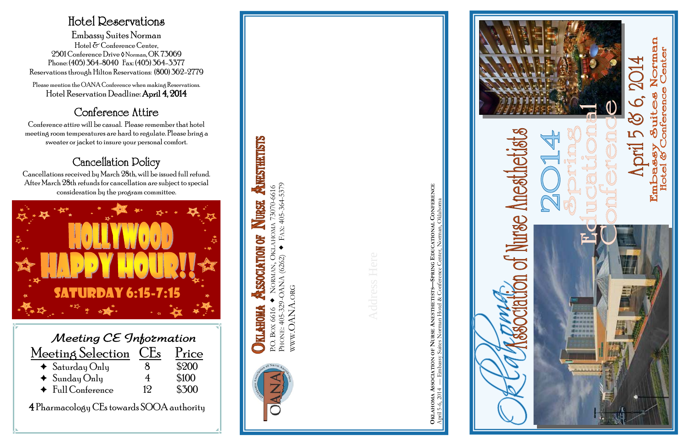| Meeting CE Information          |    |       |  |  |
|---------------------------------|----|-------|--|--|
| Meeting Selection CEs           |    | Price |  |  |
| $\triangleleft$ Saturday Only   |    | \$200 |  |  |
| $\blacklozenge$ Sunday Only     | 4  | \$100 |  |  |
| $\triangleleft$ Full Conference | 19 | \$300 |  |  |

4 Pharmacology CEs towards SOOA authority

#### Hotel Reservations

Embassy Suites Norman Hotel & Conference Center, 2501 Conference Drive ◊ Norman, OK 73069 Phone: (405) 364-8040 Fax: (405) 364-3377 Reservations through Hilton Reservations: (800) 362-2779

Please mention the OANA Conference when making Reservations. Hotel Reservation Deadline: April 4, 2014

#### Conference Attire

Conference attire will be casual. Please remember that hotel meeting room temperatures are hard to regulate. Please bring a sweater or jacket to insure your personal comfort.

### Cancellation Policy

Cancellations received by March 28th, will be issued full refund. After March 28th refunds for cancellation are subject to special consideration by the program committee.